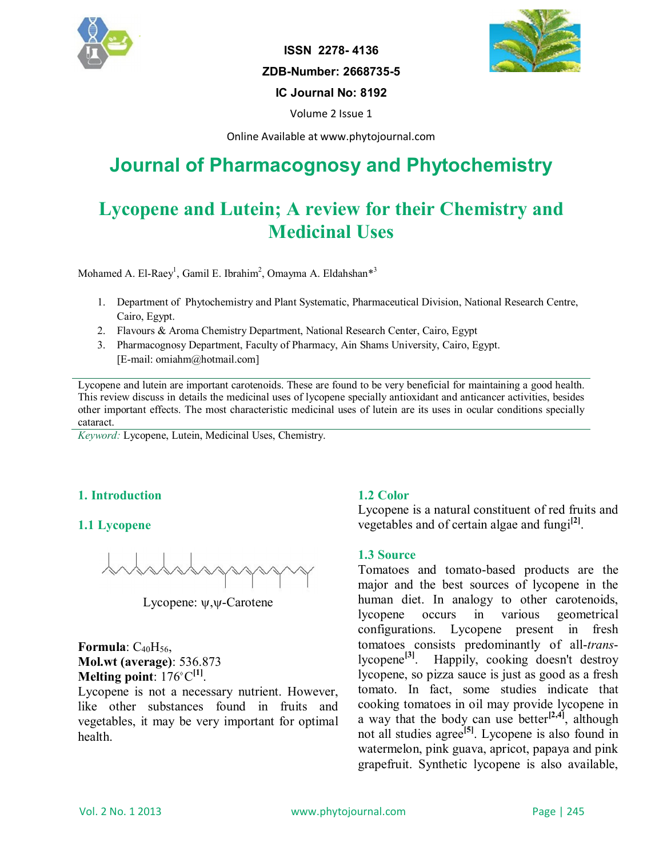

**ISSN 2278- 4136 ZDB-Number: 2668735-5 IC Journal No: 8192**



Volume 2 Issue 1

Online Available at www.phytojournal.com

# **Journal of Pharmacognosy and Phytochemistry**

# **Lycopene and Lutein; A review for their Chemistry and Medicinal Uses**

Mohamed A. El-Raey<sup>1</sup>, Gamil E. Ibrahim<sup>2</sup>, Omayma A. Eldahshan<sup>\*3</sup>

- 1. Department of Phytochemistry and Plant Systematic, Pharmaceutical Division, National Research Centre, Cairo, Egypt.
- 2. Flavours & Aroma Chemistry Department, National Research Center, Cairo, Egypt
- 3. Pharmacognosy Department, Faculty of Pharmacy, Ain Shams University, Cairo, Egypt. [E-mail: omiahm@hotmail.com]

Lycopene and lutein are important carotenoids. These are found to be very beneficial for maintaining a good health. This review discuss in details the medicinal uses of lycopene specially antioxidant and anticancer activities, besides other important effects. The most characteristic medicinal uses of lutein are its uses in ocular conditions specially cataract.

*Keyword:* Lycopene, Lutein, Medicinal Uses, Chemistry.

# **1. Introduction**

# **1.1 Lycopene**



Lycopene:  $\psi, \psi$ -Carotene

**Formula**:  $C_{40}H_{56}$ , **Mol.wt (average)**: 536.873 **Melting point**: 176<sup>°</sup>C<sup>[1]</sup>.

Lycopene is not a necessary nutrient. However, like other substances found in fruits and vegetables, it may be very important for optimal health.

# **1.2 Color**

Lycopene is a natural constituent of red fruits and vegetables and of certain algae and fungi<sup>[2]</sup>.

# **1.3 Source**

Tomatoes and tomato-based products are the major and the best sources of lycopene in the human diet. In analogy to other carotenoids, lycopene occurs in various geometrical configurations. Lycopene present in fresh tomatoes consists predominantly of all-*trans*-<br>lycopene<sup>[3]</sup>. Happily, cooking doesn't destroy Happily, cooking doesn't destroy lycopene, so pizza sauce is just as good as a fresh tomato. In fact, some studies indicate that cooking tomatoes in oil may provide lycopene in a way that the body can use better**[2,4]** , although not all studies agree**[5]** . Lycopene is also found in watermelon, pink guava, apricot, papaya and pink grapefruit. Synthetic lycopene is also available,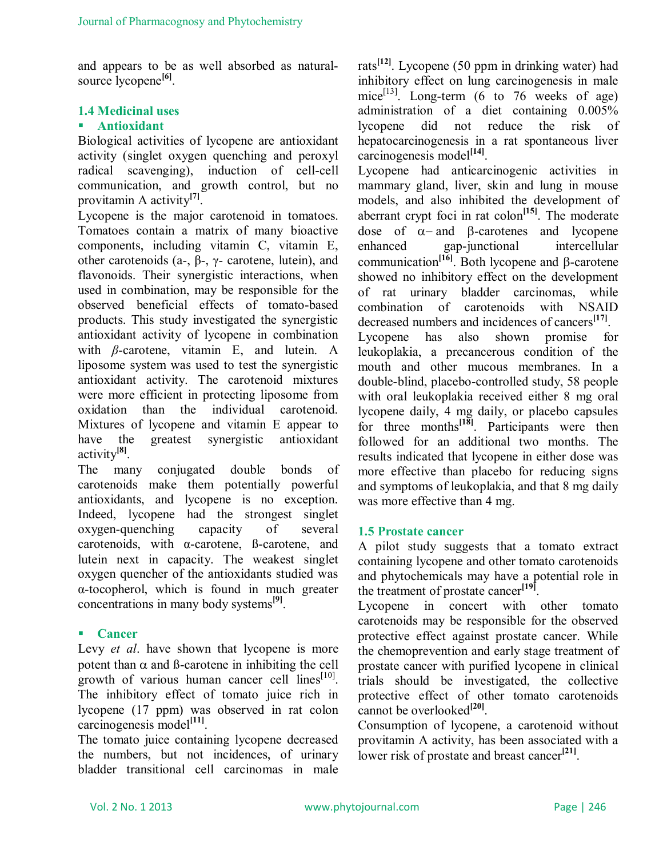and appears to be as well absorbed as naturalsource lycopene<sup>[6]</sup>.

# **1.4 Medicinal uses**

# **Antioxidant**

Biological activities of lycopene are antioxidant activity (singlet oxygen quenching and peroxyl radical scavenging), induction of cell-cell communication, and growth control, but no provitamin A activity**[7]** .

Lycopene is the major carotenoid in tomatoes. Tomatoes contain a matrix of many bioactive components, including vitamin C, vitamin E, other carotenoids (a-, β-, γ- carotene, lutein), and flavonoids. Their synergistic interactions, when used in combination, may be responsible for the observed beneficial effects of tomato-based products. This study investigated the synergistic antioxidant activity of lycopene in combination with *β*-carotene, vitamin E, and lutein. A liposome system was used to test the synergistic antioxidant activity. The carotenoid mixtures were more efficient in protecting liposome from oxidation than the individual carotenoid. Mixtures of lycopene and vitamin E appear to have the greatest synergistic antioxidant activity**[8]** .

The many conjugated double bonds of carotenoids make them potentially powerful antioxidants, and lycopene is no exception. Indeed, lycopene had the strongest singlet oxygen-quenching capacity of several carotenoids, with α-carotene, ß-carotene, and lutein next in capacity. The weakest singlet oxygen quencher of the antioxidants studied was α-tocopherol, which is found in much greater concentrations in many body systems**[9]** .

# **Cancer**

Levy *et al*. have shown that lycopene is more potent than  $\alpha$  and B-carotene in inhibiting the cell growth of various human cancer cell  $\text{lines}^{[10]}$ . The inhibitory effect of tomato juice rich in lycopene (17 ppm) was observed in rat colon carcinogenesis model**[11]** .

The tomato juice containing lycopene decreased the numbers, but not incidences, of urinary bladder transitional cell carcinomas in male

rats**[12]** . Lycopene (50 ppm in drinking water) had inhibitory effect on lung carcinogenesis in male mice<sup>[13]</sup>. Long-term (6 to 76 weeks of age) administration of a diet containing 0.005% lycopene did not reduce the risk of hepatocarcinogenesis in a rat spontaneous liver carcinogenesis model**[14]** .

Lycopene had anticarcinogenic activities in mammary gland, liver, skin and lung in mouse models, and also inhibited the development of aberrant crypt foci in rat colon<sup>[15]</sup>. The moderate dose of  $\alpha$ - and  $\beta$ -carotenes and lycopene enhanced gap-junctional intercellular communication<sup>[16]</sup>. Both lycopene and  $\beta$ -carotene showed no inhibitory effect on the development of rat urinary bladder carcinomas, while combination of carotenoids with NSAID decreased numbers and incidences of cancers**[17]** . Lycopene has also shown promise for leukoplakia, a precancerous condition of the mouth and other mucous membranes. In a double-blind, placebo-controlled study, 58 people with oral leukoplakia received either 8 mg oral lycopene daily, 4 mg daily, or placebo capsules for three months<sup>[18]</sup>. Participants were then followed for an additional two months. The results indicated that lycopene in either dose was more effective than placebo for reducing signs and symptoms of leukoplakia, and that 8 mg daily was more effective than 4 mg.

# **1.5 Prostate cancer**

A pilot study suggests that a tomato extract containing lycopene and other tomato carotenoids and phytochemicals may have a potential role in the treatment of prostate cancer**[19]** .

Lycopene in concert with other tomato carotenoids may be responsible for the observed protective effect against prostate cancer. While the chemoprevention and early stage treatment of prostate cancer with purified lycopene in clinical trials should be investigated, the collective protective effect of other tomato carotenoids cannot be overlooked<sup>[20]</sup>.

Consumption of lycopene, a carotenoid without provitamin A activity, has been associated with a lower risk of prostate and breast cancer<sup>[21]</sup>.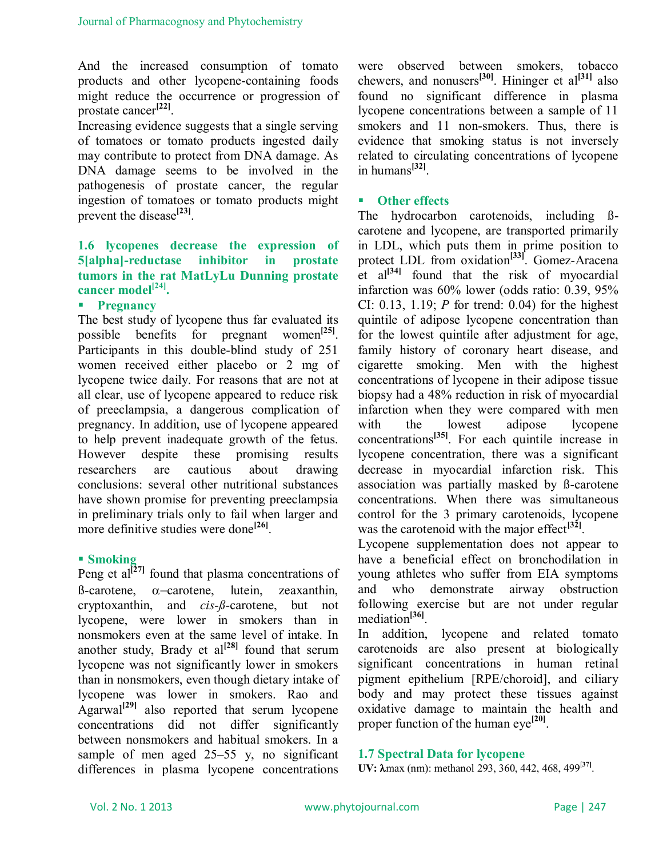And the increased consumption of tomato products and other lycopene-containing foods might reduce the occurrence or progression of prostate cancer**[22]** .

Increasing evidence suggests that a single serving of tomatoes or tomato products ingested daily may contribute to protect from DNA damage. As DNA damage seems to be involved in the pathogenesis of prostate cancer, the regular ingestion of tomatoes or tomato products might prevent the disease<sup>[23]</sup>.

# **1.6 lycopenes decrease the expression of 5[alpha]-reductase inhibitor in prostate tumors in the rat MatLyLu Dunning prostate cancer model[24] .**

# **Pregnancy**

The best study of lycopene thus far evaluated its possible benefits for pregnant women<sup>[25]</sup>. Participants in this double-blind study of 251 women received either placebo or 2 mg of lycopene twice daily. For reasons that are not at all clear, use of lycopene appeared to reduce risk of preeclampsia, a dangerous complication of pregnancy. In addition, use of lycopene appeared to help prevent inadequate growth of the fetus. However despite these promising results researchers are cautious about drawing conclusions: several other nutritional substances have shown promise for preventing preeclampsia in preliminary trials only to fail when larger and more definitive studies were done**[26]** .

#### **Smoking**

Peng et al<sup>[27]</sup> found that plasma concentrations of  $\beta$ -carotene,  $\alpha$ -carotene, lutein, zeaxanthin, cryptoxanthin, and *cis-ß*-carotene, but not lycopene, were lower in smokers than in nonsmokers even at the same level of intake. In another study, Brady et  $al^{[28]}$  found that serum lycopene was not significantly lower in smokers than in nonsmokers, even though dietary intake of lycopene was lower in smokers. Rao and Agarwal<sup>[29]</sup> also reported that serum lycopene concentrations did not differ significantly between nonsmokers and habitual smokers. In a sample of men aged 25–55 y, no significant differences in plasma lycopene concentrations were observed between smokers, tobacco chewers, and nonusers**[30]**. Hininger et al**[31]** also found no significant difference in plasma lycopene concentrations between a sample of 11 smokers and 11 non-smokers. Thus, there is evidence that smoking status is not inversely related to circulating concentrations of lycopene in humans**[32]** .

#### **Other effects**

The hydrocarbon carotenoids, including ßcarotene and lycopene, are transported primarily in LDL, which puts them in prime position to protect LDL from oxidation**[33]** . Gomez-Aracena et al<sup>[34]</sup> found that the risk of myocardial infarction was 60% lower (odds ratio: 0.39, 95% CI: 0.13, 1.19; *P* for trend: 0.04) for the highest quintile of adipose lycopene concentration than for the lowest quintile after adjustment for age, family history of coronary heart disease, and cigarette smoking. Men with the highest concentrations of lycopene in their adipose tissue biopsy had a 48% reduction in risk of myocardial infarction when they were compared with men with the lowest adipose lycopene concentrations**[35]** . For each quintile increase in lycopene concentration, there was a significant decrease in myocardial infarction risk. This association was partially masked by ß-carotene concentrations. When there was simultaneous control for the 3 primary carotenoids, lycopene was the carotenoid with the major effect<sup>[32]</sup>.

Lycopene supplementation does not appear to have a beneficial effect on bronchodilation in young athletes who suffer from EIA symptoms and who demonstrate airway obstruction following exercise but are not under regular mediation**[36]** .

In addition, lycopene and related tomato carotenoids are also present at biologically significant concentrations in human retinal pigment epithelium [RPE/choroid], and ciliary body and may protect these tissues against oxidative damage to maintain the health and proper function of the human eye<sup>[20]</sup>.

#### **1.7 Spectral Data for lycopene**

**UV:** λmax (nm): methanol 293, 360, 442, 468, 499<sup>[37]</sup>.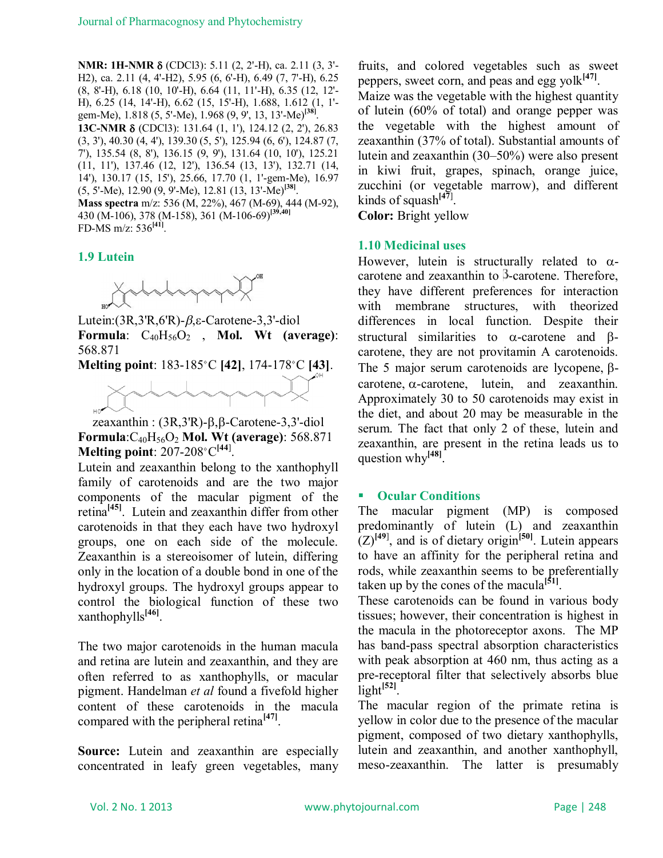**NMR: 1H-NMR δ** (CDCl3): 5.11 (2, 2'-H), ca. 2.11 (3, 3'-H2), ca. 2.11 (4, 4'-H2), 5.95 (6, 6'-H), 6.49 (7, 7'-H), 6.25 (8, 8'-H), 6.18 (10, 10'-H), 6.64 (11, 11'-H), 6.35 (12, 12'- H), 6.25 (14, 14'-H), 6.62 (15, 15'-H), 1.688, 1.612 (1, 1' gem-Me), 1.818 (5, 5'-Me), 1.968 (9, 9', 13, 13'-Me)**[38]** . **13C-NMR δ** (CDCl3): 131.64 (1, 1'), 124.12 (2, 2'), 26.83

(3, 3'), 40.30 (4, 4'), 139.30 (5, 5'), 125.94 (6, 6'), 124.87 (7, 7'), 135.54 (8, 8'), 136.15 (9, 9'), 131.64 (10, 10'), 125.21 (11, 11'), 137.46 (12, 12'), 136.54 (13, 13'), 132.71 (14, 14'), 130.17 (15, 15'), 25.66, 17.70 (1, 1'-gem-Me), 16.97 (5, 5'-Me), 12.90 (9, 9'-Me), 12.81 (13, 13'-Me)**[38]** .

**Mass spectra** m/z: 536 (M, 22%), 467 (M-69), 444 (M-92), 430 (M-106), 378 (M-158), 361 (M-106-69)**[39,40]** FD-MS m/z: 536**[41]** .

# **1.9 Lutein**



Lutein: $(3R,3'R,6'R)$ - $\beta$ ,  $\varepsilon$ -Carotene-3, 3'-diol **Formula**: C40H56O<sup>2</sup> , **Mol. Wt (average)**: 568.871

**Melting point**: 183-185 °C [42], 174-178 °C [43].



zeaxanthin :  $(3R,3'R)$ - $\beta$ , $\beta$ -Carotene-3,3'-diol **Formula**:C40H56O<sup>2</sup> **Mol. Wt (average)**: 568.871 **Melting point**: 207-208<sup></sup> C<sup>[44]</sup>.

Lutein and zeaxanthin belong to the xanthophyll family of carotenoids and are the two major components of the macular pigment of the retina**[45]**. Lutein and zeaxanthin differ from other carotenoids in that they each have two hydroxyl groups, one on each side of the molecule. Zeaxanthin is a stereoisomer of lutein, differing only in the location of a double bond in one of the hydroxyl groups. The hydroxyl groups appear to control the biological function of these two xanthophylls**[46]** .

The two major carotenoids in the human macula and retina are lutein and zeaxanthin, and they are often referred to as xanthophylls, or macular pigment. Handelman *et al* found a fivefold higher content of these carotenoids in the macula compared with the peripheral retina**[47]** .

**Source:** Lutein and zeaxanthin are especially concentrated in leafy green vegetables, many fruits, and colored vegetables such as sweet peppers, sweet corn, and peas and egg yolk<sup>[47]</sup>.

Maize was the vegetable with the highest quantity of lutein (60% of total) and orange pepper was the vegetable with the highest amount of zeaxanthin (37% of total). Substantial amounts of lutein and zeaxanthin (30–50%) were also present in kiwi fruit, grapes, spinach, orange juice, zucchini (or vegetable marrow), and different kinds of squash**[47**] .

**Color:** Bright yellow

# **1.10 Medicinal uses**

However, lutein is structurally related to  $\alpha$ carotene and zeaxanthin to  $\beta$ -carotene. Therefore, they have different preferences for interaction with membrane structures, with theorized differences in local function. Despite their structural similarities to  $\alpha$ -carotene and  $\beta$ carotene, they are not provitamin A carotenoids. The 5 major serum carotenoids are lycopene,  $\beta$ carotene,  $\alpha$ -carotene, lutein, and zeaxanthin. Approximately 30 to 50 carotenoids may exist in the diet, and about 20 may be measurable in the serum. The fact that only 2 of these, lutein and zeaxanthin, are present in the retina leads us to question why**[48]** .

# **Ocular Conditions**

The macular pigment (MP) is composed predominantly of lutein (L) and zeaxanthin  $(L)^{[49]}$ , and is of dietary origin<sup>[50]</sup>. Lutein appears to have an affinity for the peripheral retina and rods, while zeaxanthin seems to be preferentially taken up by the cones of the macula<sup>[51]</sup>.

These carotenoids can be found in various body tissues; however, their concentration is highest in the macula in the photoreceptor axons. The MP has band-pass spectral absorption characteristics with peak absorption at 460 nm, thus acting as a pre-receptoral filter that selectively absorbs blue light**[52]** .

The macular region of the primate retina is yellow in color due to the presence of the macular pigment, composed of two dietary xanthophylls, lutein and zeaxanthin, and another xanthophyll, meso-zeaxanthin. The latter is presumably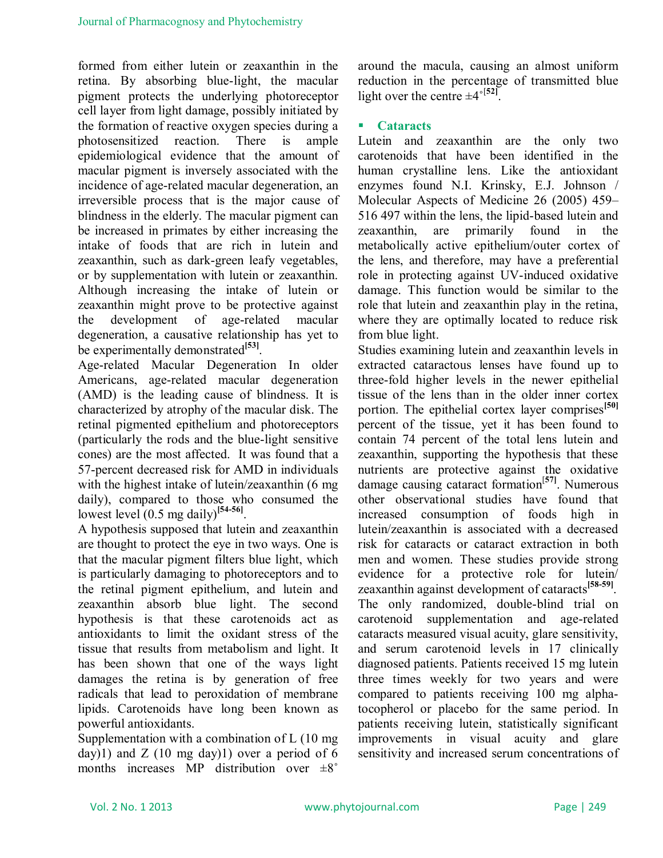formed from either lutein or zeaxanthin in the retina. By absorbing blue-light, the macular pigment protects the underlying photoreceptor cell layer from light damage, possibly initiated by the formation of reactive oxygen species during a photosensitized reaction. There is ample epidemiological evidence that the amount of macular pigment is inversely associated with the incidence of age-related macular degeneration, an irreversible process that is the major cause of blindness in the elderly. The macular pigment can be increased in primates by either increasing the intake of foods that are rich in lutein and zeaxanthin, such as dark-green leafy vegetables, or by supplementation with lutein or zeaxanthin. Although increasing the intake of lutein or zeaxanthin might prove to be protective against the development of age-related macular degeneration, a causative relationship has yet to be experimentally demonstrated<sup>[53]</sup>.

Age-related Macular Degeneration In older Americans, age-related macular degeneration (AMD) is the leading cause of blindness. It is characterized by atrophy of the macular disk. The retinal pigmented epithelium and photoreceptors (particularly the rods and the blue-light sensitive cones) are the most affected. It was found that a 57-percent decreased risk for AMD in individuals with the highest intake of lutein/zeaxanthin (6 mg) daily), compared to those who consumed the lowest level (0.5 mg daily)**[54-56]** .

A hypothesis supposed that lutein and zeaxanthin are thought to protect the eye in two ways. One is that the macular pigment filters blue light, which is particularly damaging to photoreceptors and to the retinal pigment epithelium, and lutein and zeaxanthin absorb blue light. The second hypothesis is that these carotenoids act as antioxidants to limit the oxidant stress of the tissue that results from metabolism and light. It has been shown that one of the ways light damages the retina is by generation of free radicals that lead to peroxidation of membrane lipids. Carotenoids have long been known as powerful antioxidants.

Supplementation with a combination of L (10 mg day)1) and  $Z$  (10 mg day)1) over a period of 6 months increases MP distribution over  $\pm 8^\circ$ 

around the macula, causing an almost uniform reduction in the percentage of transmitted blue light over the centre  $\pm 4^{\circ}$ <sup>[52]</sup>.

# **Cataracts**

Lutein and zeaxanthin are the only two carotenoids that have been identified in the human crystalline lens. Like the antioxidant enzymes found N.I. Krinsky, E.J. Johnson / Molecular Aspects of Medicine 26 (2005) 459– 516 497 within the lens, the lipid-based lutein and zeaxanthin, are primarily found in the zeaxanthin, are primarily found in the metabolically active epithelium/outer cortex of the lens, and therefore, may have a preferential role in protecting against UV-induced oxidative damage. This function would be similar to the role that lutein and zeaxanthin play in the retina, where they are optimally located to reduce risk from blue light.

Studies examining lutein and zeaxanthin levels in extracted cataractous lenses have found up to three-fold higher levels in the newer epithelial tissue of the lens than in the older inner cortex portion. The epithelial cortex layer comprises**[50]** percent of the tissue, yet it has been found to contain 74 percent of the total lens lutein and zeaxanthin, supporting the hypothesis that these nutrients are protective against the oxidative damage causing cataract formation[**57]**. Numerous other observational studies have found that increased consumption of foods high in lutein/zeaxanthin is associated with a decreased risk for cataracts or cataract extraction in both men and women. These studies provide strong evidence for a protective role for lutein/ zeaxanthin against development of cataracts**[58-59]** . The only randomized, double-blind trial on carotenoid supplementation and age-related cataracts measured visual acuity, glare sensitivity, and serum carotenoid levels in 17 clinically diagnosed patients. Patients received 15 mg lutein three times weekly for two years and were compared to patients receiving 100 mg alphatocopherol or placebo for the same period. In patients receiving lutein, statistically significant improvements in visual acuity and glare sensitivity and increased serum concentrations of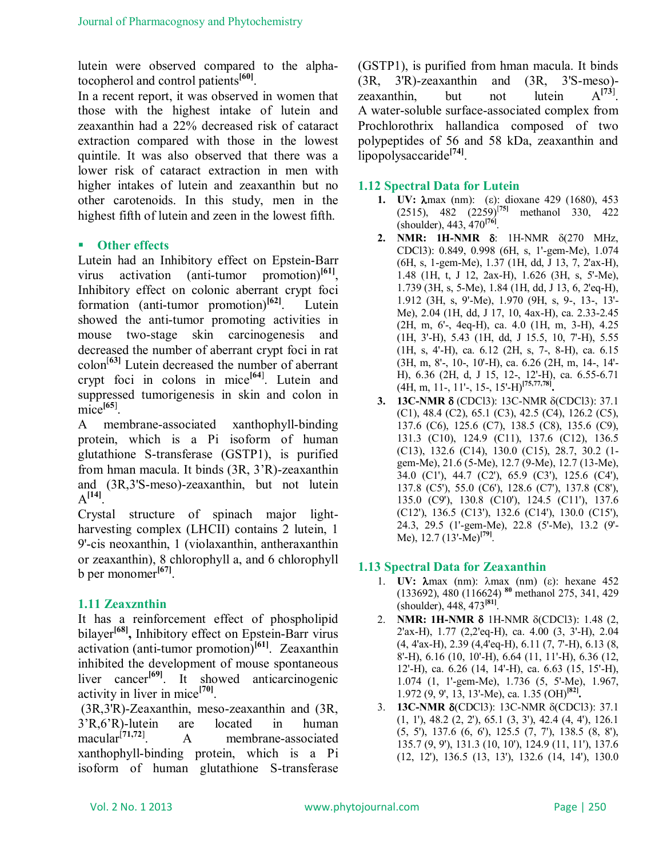lutein were observed compared to the alphatocopherol and control patients**[60]** .

In a recent report, it was observed in women that those with the highest intake of lutein and zeaxanthin had a 22% decreased risk of cataract extraction compared with those in the lowest quintile. It was also observed that there was a lower risk of cataract extraction in men with higher intakes of lutein and zeaxanthin but no other carotenoids. In this study, men in the highest fifth of lutein and zeen in the lowest fifth.

# **Other effects**

Lutein had an Inhibitory effect on Epstein-Barr virus activation (anti-tumor promotion) $^{[61]}$ . Inhibitory effect on colonic aberrant crypt foci formation (anti-tumor promotion)**[62]**. Lutein showed the anti-tumor promoting activities in mouse two-stage skin carcinogenesis and decreased the number of aberrant crypt foci in rat colon[**63]** Lutein decreased the number of aberrant crypt foci in colons in mice<sup>[64]</sup>. Lutein and suppressed tumorigenesis in skin and colon in  $\text{mice}^{\left[65\right]}$ .

A membrane-associated xanthophyll-binding protein, which is a Pi isoform of human glutathione S-transferase (GSTP1), is purified from hman macula. It binds (3R, 3'R)-zeaxanthin and (3R,3'S-meso)-zeaxanthin, but not lutein  $A^{[14]}$ .

Crystal structure of spinach major lightharvesting complex (LHCII) contains 2 lutein, 1 9'-cis neoxanthin, 1 (violaxanthin, antheraxanthin or zeaxanthin), 8 chlorophyll a, and 6 chlorophyll b per monomer**[67]** .

# **1.11 Zeaxznthin**

It has a reinforcement effect of phospholipid bilayer**[68] ,** Inhibitory effect on Epstein-Barr virus activation (anti-tumor promotion)**[61]** .Zeaxanthin inhibited the development of mouse spontaneous liver cancer<sup>[69]</sup>. It showed anticarcinogenic activity in liver in mice**[70]** .

(3R,3'R)-Zeaxanthin, meso-zeaxanthin and (3R, 3'R,6'R)-lutein are located in human macular[**71,72**] . A membrane-associated xanthophyll-binding protein, which is a Pi isoform of human glutathione S-transferase (GSTP1), is purified from hman macula. It binds (3R, 3'R)-zeaxanthin and (3R, 3'S-meso) zeaxanthin, but not lutein  $A^{[73]}$ A water-soluble surface-associated complex from Prochlorothrix hallandica composed of two polypeptides of 56 and 58 kDa, zeaxanthin and lipopolysaccaride**[74]** .

# **1.12 Spectral Data for Lutein**

- **1. UV:**  $\lambda$ max (nm): (ε): dioxane 429 (1680), 453 (2515), 482 (2259)[**75]** methanol 330, 422 (shoulder), 443, 470**[76]** .
- **2. NMR: 1H-NMR** δ: 1H-NMR δ(270 MHz, CDCl3): 0.849, 0.998 (6H, s, 1'-gem-Me), 1.074 (6H, s, 1-gem-Me), 1.37 (1H, dd, J 13, 7, 2'ax-H), 1.48 (1H, t, J 12, 2ax-H), 1.626 (3H, s, 5'-Me), 1.739 (3H, s, 5-Me), 1.84 (1H, dd, J 13, 6, 2'eq-H), 1.912 (3H, s, 9'-Me), 1.970 (9H, s, 9-, 13-, 13'- Me), 2.04 (1H, dd, J 17, 10, 4ax-H), ca. 2.33-2.45 (2H, m, 6'-, 4eq-H), ca. 4.0 (1H, m, 3-H), 4.25 (1H, 3'-H), 5.43 (1H, dd, J 15.5, 10, 7'-H), 5.55 (1H, s, 4'-H), ca. 6.12 (2H, s, 7-, 8-H), ca. 6.15 (3H, m, 8'-, 10-, 10'-H), ca. 6.26 (2H, m, 14-, 14'- H), 6.36 (2H, d, J 15, 12-, 12'-H), ca. 6.55-6.71 (4H, m, 11-, 11'-, 15-, 15'-H)**[75,77,78] .**
- **3. 13C-NMR δ** (CDCl3): 13C-NMR δ(CDCl3): 37.1 (C1), 48.4 (C2), 65.1 (C3), 42.5 (C4), 126.2 (C5), 137.6 (C6), 125.6 (C7), 138.5 (C8), 135.6 (C9), 131.3 (C10), 124.9 (C11), 137.6 (C12), 136.5 (C13), 132.6 (C14), 130.0 (C15), 28.7, 30.2 (1 gem-Me), 21.6 (5-Me), 12.7 (9-Me), 12.7 (13-Me), 34.0 (C1'), 44.7 (C2'), 65.9 (C3'), 125.6 (C4'), 137.8 (C5'), 55.0 (C6'), 128.6 (C7'), 137.8 (C8'), 135.0 (C9'), 130.8 (C10'), 124.5 (C11'), 137.6 (C12'), 136.5 (C13'), 132.6 (C14'), 130.0 (C15'), 24.3, 29.5 (1'-gem-Me), 22.8 (5'-Me), 13.2 (9'- Me), 12.7 (13'-Me)**[79]** .

# **1.13 Spectral Data for Zeaxanthin**

- 1. **UV:**  $\lambda$ max (nm):  $\lambda$ max (nm) ( $\epsilon$ ): hexane 452 (133692), 480 (116624) **<sup>80</sup>** methanol 275, 341, 429 (shoulder), 448, 473**[81]** .
- 2. **NMR: 1H-NMR δ** 1H-NMR δ(CDCl3): 1.48 (2, 2'ax-H), 1.77 (2,2'eq-H), ca. 4.00 (3, 3'-H), 2.04 (4, 4'ax-H), 2.39 (4,4'eq-H), 6.11 (7, 7'-H), 6.13 (8, 8'-H), 6.16 (10, 10'-H), 6.64 (11, 11'-H), 6.36 (12, 12'-H), ca. 6.26 (14, 14'-H), ca. 6.63 (15, 15'-H), 1.074 (1, 1'-gem-Me), 1.736 (5, 5'-Me), 1.967, 1.972 (9, 9', 13, 13'-Me), ca. 1.35 (OH)**[82] .**
- 3. **13C-NMR δ**(CDCl3): 13C-NMR δ(CDCl3): 37.1 (1, 1'), 48.2 (2, 2'), 65.1 (3, 3'), 42.4 (4, 4'), 126.1 (5, 5'), 137.6 (6, 6'), 125.5 (7, 7'), 138.5 (8, 8'), 135.7 (9, 9'), 131.3 (10, 10'), 124.9 (11, 11'), 137.6 (12, 12'), 136.5 (13, 13'), 132.6 (14, 14'), 130.0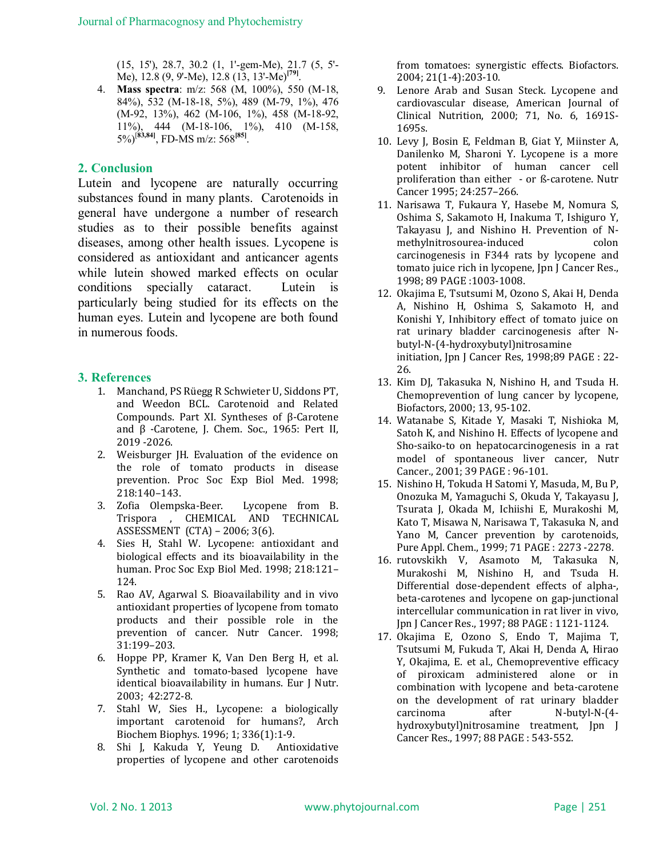(15, 15'), 28.7, 30.2 (1, 1'-gem-Me), 21.7 (5, 5'- Me), 12.8 (9, 9'-Me), 12.8 (13, 13'-Me)**[79]** .

4. **Mass spectra**: m/z: 568 (M, 100%), 550 (M-18, 84%), 532 (M-18-18, 5%), 489 (M-79, 1%), 476 (M-92, 13%), 462 (M-106, 1%), 458 (M-18-92, 11%), 444 (M-18-106, 1%), 410 (M-158, 5%)[**83,84]** , FD-MS m/z: 568**[85]** .

# **2. Conclusion**

Lutein and lycopene are naturally occurring substances found in many plants. Carotenoids in general have undergone a number of research studies as to their possible benefits against diseases, among other health issues. Lycopene is considered as antioxidant and anticancer agents while lutein showed marked effects on ocular conditions specially cataract. Lutein is particularly being studied for its effects on the human eyes. Lutein and lycopene are both found in numerous foods.

#### **3. References**

- 1. Manchand, PS Rüegg R Schwieter U, Siddons PT, and Weedon BCL. Carotenoid and Related Compounds. Part XI. Syntheses of β-Carotene and β -Carotene, J. Chem. Soc., 1965: Pert II, 2019 -2026.
- 2. Weisburger JH. Evaluation of the evidence on the role of tomato products in disease prevention. Proc Soc Exp Biol Med. 1998; 218:140–143.
- 3. Zofia Olempska-Beer. Lycopene from B. Trispora , CHEMICAL AND TECHNICAL ASSESSMENT (CTA) – 2006; 3(6).
- 4. Sies H, Stahl W. Lycopene: antioxidant and biological effects and its bioavailability in the human. Proc Soc Exp Biol Med. 1998; 218:121– 124.
- 5. Rao AV, Agarwal S. Bioavailability and in vivo antioxidant properties of lycopene from tomato products and their possible role in the prevention of cancer. Nutr Cancer. 1998; 31:199–203.
- 6. Hoppe PP, Kramer K, Van Den Berg H, et al. Synthetic and tomato-based lycopene have identical bioavailability in humans. Eur J Nutr. 2003; 42:272-8.
- 7. Stahl W, Sies H., Lycopene: a biologically important carotenoid for humans?, Arch Biochem Biophys. 1996; 1; 336(1):1-9.
- 8. Shi J, Kakuda Y, Yeung D. Antioxidative properties of lycopene and other carotenoids

from tomatoes: synergistic effects. Biofactors. 2004; 21(1-4):203-10.

- 9. Lenore Arab and Susan Steck. Lycopene and cardiovascular disease, American Journal of Clinical Nutrition, 2000; 71, No. 6, 1691S-1695s.
- 10. Levy J, Bosin E, Feldman B, Giat Y, Miinster A, Danilenko M, Sharoni Y. Lycopene is a more potent inhibitor of human cancer cell proliferation than either - or ß-carotene. Nutr Cancer 1995; 24:257–266.
- 11. Narisawa T, Fukaura Y, Hasebe M, Nomura S, Oshima S, Sakamoto H, Inakuma T, Ishiguro Y, Takayasu J, and Nishino H. Prevention of Nmethylnitrosourea-induced colon carcinogenesis in F344 rats by lycopene and tomato juice rich in lycopene, Jpn J Cancer Res., 1998; 89 PAGE :1003-1008.
- 12. Okajima E, Tsutsumi M, Ozono S, Akai H, Denda A, Nishino H, Oshima S, Sakamoto H, and Konishi Y, Inhibitory effect of tomato juice on rat urinary bladder carcinogenesis after Nbutyl-N-(4-hydroxybutyl)nitrosamine initiation, Jpn J Cancer Res, 1998;89 PAGE : 22- 26.
- 13. Kim DJ, Takasuka N, Nishino H, and Tsuda H. Chemoprevention of lung cancer by lycopene, Biofactors, 2000; 13, 95-102.
- 14. Watanabe S, Kitade Y, Masaki T, Nishioka M, Satoh K, and Nishino H. Effects of lycopene and Sho-saiko-to on hepatocarcinogenesis in a rat model of spontaneous liver cancer, Nutr Cancer., 2001; 39 PAGE : 96-101.
- 15. Nishino H, Tokuda H Satomi Y, Masuda, M, Bu P, Onozuka M, Yamaguchi S, Okuda Y, Takayasu J, Tsurata J, Okada M, Ichiishi E, Murakoshi M, Kato T, Misawa N, Narisawa T, Takasuka N, and Yano M, Cancer prevention by carotenoids, Pure Appl. Chem., 1999; 71 PAGE : 2273 -2278.
- 16. rutovskikh V, Asamoto M, Takasuka N, Murakoshi M, Nishino H, and Tsuda H. Differential dose-dependent effects of alpha-, beta-carotenes and lycopene on gap-junctional intercellular communication in rat liver in vivo, Jpn J Cancer Res., 1997; 88 PAGE : 1121-1124.
- 17. Okajima E, Ozono S, Endo T, Majima T, Tsutsumi M, Fukuda T, Akai H, Denda A, Hirao Y, Okajima, E. et al., Chemopreventive efficacy of piroxicam administered alone or in combination with lycopene and beta-carotene on the development of rat urinary bladder carcinoma after N-butyl-N-(4 hydroxybutyl)nitrosamine treatment, Jpn J Cancer Res., 1997; 88 PAGE : 543-552.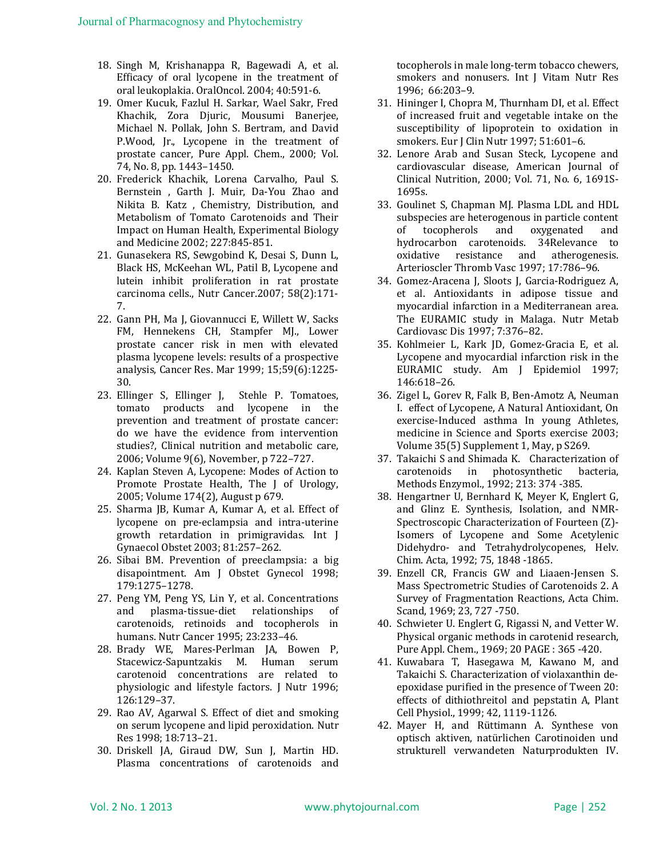- 18. Singh M, Krishanappa R, Bagewadi A, et al. Efficacy of oral lycopene in the treatment of oral leukoplakia. OralOncol. 2004; 40:591-6.
- 19. Omer Kucuk, Fazlul H. Sarkar, Wael Sakr, Fred Khachik, Zora Djuric, Mousumi Banerjee, Michael N. Pollak, John S. Bertram, and David P.Wood, Jr., Lycopene in the treatment of prostate cancer, Pure Appl. Chem., 2000; Vol. 74, No. 8, pp. 1443–1450.
- 20. Frederick Khachik, Lorena Carvalho, Paul S. Bernstein , Garth J. Muir, Da-You Zhao and Nikita B. Katz , Chemistry, Distribution, and Metabolism of Tomato Carotenoids and Their Impact on Human Health, Experimental Biology and Medicine 2002; 227:845-851.
- 21. Gunasekera RS, Sewgobind K, Desai S, Dunn L, Black HS, McKeehan WL, Patil B, Lycopene and lutein inhibit proliferation in rat prostate carcinoma cells., Nutr Cancer.2007; 58(2):171- 7.
- 22. Gann PH, Ma J, Giovannucci E, Willett W, Sacks FM, Hennekens CH, Stampfer MJ., Lower prostate cancer risk in men with elevated plasma lycopene levels: results of a prospective analysis, Cancer Res. Mar 1999; 15;59(6):1225- 30.
- 23. Ellinger S, Ellinger J, Stehle P. Tomatoes, tomato products and lycopene in the prevention and treatment of prostate cancer: do we have the evidence from intervention studies?, Clinical nutrition and metabolic care, 2006; Volume 9(6), November, p 722–727.
- 24. Kaplan Steven A, Lycopene: Modes of Action to Promote Prostate Health, The J of Urology, 2005; Volume 174(2), August p 679.
- 25. Sharma JB, Kumar A, Kumar A, et al. Effect of lycopene on pre-eclampsia and intra-uterine growth retardation in primigravidas. Int J Gynaecol Obstet 2003; 81:257–262.
- 26. Sibai BM. Prevention of preeclampsia: a big disapointment. Am J Obstet Gynecol 1998; 179:1275–1278.
- 27. Peng YM, Peng YS, Lin Y, et al. Concentrations and plasma-tissue-diet relationships of carotenoids, retinoids and tocopherols in humans. Nutr Cancer 1995; 23:233–46.
- 28. Brady WE, Mares-Perlman JA, Bowen P, Stacewicz-Sapuntzakis M. Human serum carotenoid concentrations are related to physiologic and lifestyle factors. J Nutr 1996; 126:129–37.
- 29. Rao AV, Agarwal S. Effect of diet and smoking on serum lycopene and lipid peroxidation. Nutr Res 1998; 18:713–21.
- 30. Driskell JA, Giraud DW, Sun J, Martin HD. Plasma concentrations of carotenoids and

tocopherols in male long-term tobacco chewers, smokers and nonusers. Int J Vitam Nutr Res 1996; 66:203–9.

- 31. Hininger I, Chopra M, Thurnham DI, et al. Effect of increased fruit and vegetable intake on the susceptibility of lipoprotein to oxidation in smokers. Eur J Clin Nutr 1997; 51:601–6.
- 32. Lenore Arab and Susan Steck, Lycopene and cardiovascular disease, American Journal of Clinical Nutrition, 2000; Vol. 71, No. 6, 1691S-1695s.
- 33. Goulinet S, Chapman MJ. Plasma LDL and HDL subspecies are heterogenous in particle content of tocopherols and oxygenated and hydrocarbon carotenoids. 34Relevance to oxidative resistance and atherogenesis. Arterioscler Thromb Vasc 1997; 17:786–96.
- 34. Gomez-Aracena J, Sloots J, Garcia-Rodriguez A, et al. Antioxidants in adipose tissue and myocardial infarction in a Mediterranean area. The EURAMIC study in Malaga. Nutr Metab Cardiovasc Dis 1997; 7:376–82.
- 35. Kohlmeier L, Kark JD, Gomez-Gracia E, et al. Lycopene and myocardial infarction risk in the EURAMIC study. Am J Epidemiol 1997; 146:618–26.
- 36. Zigel L, Gorev R, Falk B, Ben-Amotz A, Neuman I. effect of Lycopene, A Natural Antioxidant, On exercise-Induced asthma In young Athletes, medicine in Science and Sports exercise 2003; Volume 35(5) Supplement 1, May, p S269.
- 37. Takaichi S and Shimada K. Characterization of carotenoids in photosynthetic bacteria, Methods Enzymol., 1992; 213: 374 -385.
- 38. Hengartner U, Bernhard K, Meyer K, Englert G, and Glinz E. Synthesis, Isolation, and NMR-Spectroscopic Characterization of Fourteen (Z)- Isomers of Lycopene and Some Acetylenic Didehydro- and Tetrahydrolycopenes, Helv. Chim. Acta, 1992; 75, 1848 -1865.
- 39. Enzell CR, Francis GW and Liaaen-Jensen S. Mass Spectrometric Studies of Carotenoids 2. A Survey of Fragmentation Reactions, Acta Chim. Scand, 1969; 23, 727 -750.
- 40. Schwieter U. Englert G, Rigassi N, and Vetter W. Physical organic methods in carotenid research, Pure Appl. Chem., 1969; 20 PAGE : 365 -420.
- 41. Kuwabara T, Hasegawa M, Kawano M, and Takaichi S. Characterization of violaxanthin deepoxidase purified in the presence of Tween 20: effects of dithiothreitol and pepstatin A, Plant Cell Physiol., 1999; 42, 1119-1126.
- 42. Mayer H, and Rüttimann A. Synthese von optisch aktiven, natürlichen Carotinoiden und strukturell verwandeten Naturprodukten IV.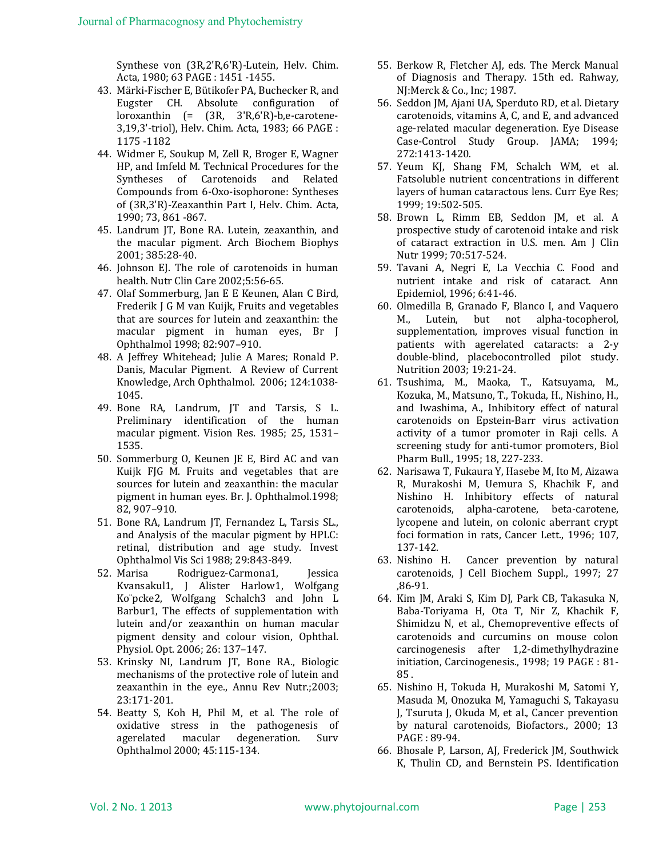Synthese von (3R,2'R,6'R)-Lutein, Helv. Chim. Acta, 1980; 63 PAGE : 1451 -1455.

- 43. Märki-Fischer E, Bütikofer PA, Buchecker R, and Eugster CH. Absolute configuration of loroxanthin (= (3R, 3'R,6'R)-b,e-carotene-3,19,3'-triol), Helv. Chim. Acta, 1983; 66 PAGE : 1175 -1182
- 44. Widmer E, Soukup M, Zell R, Broger E, Wagner HP, and Imfeld M. Technical Procedures for the Syntheses of Carotenoids and Related Compounds from 6-Oxo-isophorone: Syntheses of (3R,3'R)-Zeaxanthin Part I, Helv. Chim. Acta, 1990; 73, 861 -867.
- 45. Landrum JT, Bone RA. Lutein, zeaxanthin, and the macular pigment. Arch Biochem Biophys 2001; 385:28-40.
- 46. Johnson EJ. The role of carotenoids in human health. Nutr Clin Care 2002;5:56-65.
- 47. Olaf Sommerburg, Jan E E Keunen, Alan C Bird, Frederik J G M van Kuijk, Fruits and vegetables that are sources for lutein and zeaxanthin: the macular pigment in human eyes, Br J Ophthalmol 1998; 82:907–910.
- 48. A Jeffrey Whitehead; Julie A Mares; Ronald P. Danis, Macular Pigment. A Review of Current Knowledge, Arch Ophthalmol. 2006; 124:1038- 1045.
- 49. Bone RA, Landrum, JT and Tarsis, S L. Preliminary identification of the human macular pigment. Vision Res. 1985; 25, 1531– 1535.
- 50. Sommerburg O, Keunen JE E, Bird AC and van Kuijk FJG M. Fruits and vegetables that are sources for lutein and zeaxanthin: the macular pigment in human eyes. Br. J. Ophthalmol.1998; 82, 907–910.
- 51. Bone RA, Landrum JT, Fernandez L, Tarsis SL., and Analysis of the macular pigment by HPLC: retinal, distribution and age study. Invest Ophthalmol Vis Sci 1988; 29:843-849.
- 52. Marisa Rodriguez-Carmona1, Jessica Kvansakul1, J Alister Harlow1, Wolfgang Ko¨pcke2, Wolfgang Schalch3 and John L Barbur1, The effects of supplementation with lutein and/or zeaxanthin on human macular pigment density and colour vision, Ophthal. Physiol. Opt. 2006; 26: 137–147.
- 53. Krinsky NI, Landrum JT, Bone RA., Biologic mechanisms of the protective role of lutein and zeaxanthin in the eye., Annu Rev Nutr.;2003; 23:171-201.
- 54. Beatty S, Koh H, Phil M, et al. The role of oxidative stress in the pathogenesis of agerelated macular degeneration. Surv Ophthalmol 2000; 45:115-134.
- 55. Berkow R, Fletcher AJ, eds. The Merck Manual of Diagnosis and Therapy. 15th ed. Rahway, NJ:Merck & Co., Inc; 1987.
- 56. Seddon JM, Ajani UA, Sperduto RD, et al. Dietary carotenoids, vitamins A, C, and E, and advanced age-related macular degeneration. Eye Disease Case-Control Study Group. JAMA; 1994; 272:1413-1420.
- 57. Yeum KJ, Shang FM, Schalch WM, et al. Fatsoluble nutrient concentrations in different layers of human cataractous lens. Curr Eye Res; 1999; 19:502-505.
- 58. Brown L, Rimm EB, Seddon JM, et al. A prospective study of carotenoid intake and risk of cataract extraction in U.S. men. Am J Clin Nutr 1999; 70:517-524.
- 59. Tavani A, Negri E, La Vecchia C. Food and nutrient intake and risk of cataract. Ann Epidemiol, 1996; 6:41-46.
- 60. Olmedilla B, Granado F, Blanco I, and Vaquero M., Lutein, but not alpha-tocopherol, supplementation, improves visual function in patients with agerelated cataracts: a 2-y double-blind, placebocontrolled pilot study. Nutrition 2003; 19:21-24.
- 61. Tsushima, M., Maoka, T., Katsuyama, M., Kozuka, M., Matsuno, T., Tokuda, H., Nishino, H., and Iwashima, A., Inhibitory effect of natural carotenoids on Epstein-Barr virus activation activity of a tumor promoter in Raji cells. A screening study for anti-tumor promoters, Biol Pharm Bull., 1995; 18, 227-233.
- 62. Narisawa T, Fukaura Y, Hasebe M, Ito M, Aizawa R, Murakoshi M, Uemura S, Khachik F, and Nishino H. Inhibitory effects of natural carotenoids, alpha-carotene, beta-carotene, lycopene and lutein, on colonic aberrant crypt foci formation in rats, Cancer Lett., 1996; 107, 137-142.
- 63. Nishino H. Cancer prevention by natural carotenoids, J Cell Biochem Suppl., 1997; 27 ,86-91.
- 64. Kim JM, Araki S, Kim DJ, Park CB, Takasuka N, Baba-Toriyama H, Ota T, Nir Z, Khachik F, Shimidzu N, et al., Chemopreventive effects of carotenoids and curcumins on mouse colon carcinogenesis after 1,2-dimethylhydrazine initiation, Carcinogenesis., 1998; 19 PAGE : 81- 85 .
- 65. Nishino H, Tokuda H, Murakoshi M, Satomi Y, Masuda M, Onozuka M, Yamaguchi S, Takayasu J, Tsuruta J, Okuda M, et al., Cancer prevention by natural carotenoids, Biofactors., 2000; 13 PAGE : 89-94.
- 66. Bhosale P, Larson, AJ, Frederick JM, Southwick K, Thulin CD, and Bernstein PS. Identification